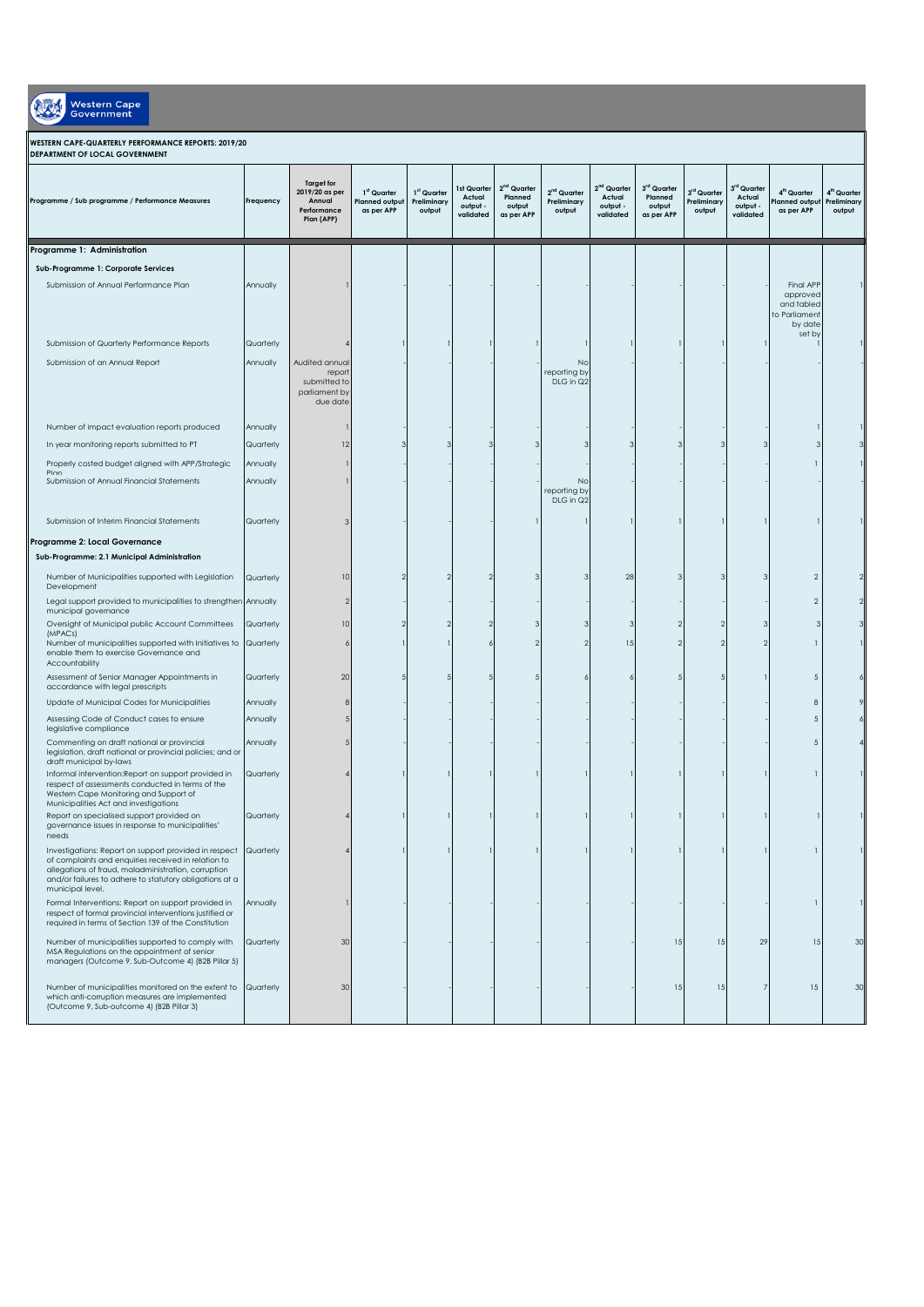| Western Cap |
|-------------|
|             |

## **WESTERN CAPE-QUARTERLY PERFORMANCE REPORTS: 2019/20**

| DEPARTMENT OF LOCAL GOVERNMENT                                                                                                                                                                                                                               |           |                                                                            |                                                                |                                                  |                                                       |                                                  |                                                  |                                                            |                                                |                                      |                                                            |                                                                 |                                                  |
|--------------------------------------------------------------------------------------------------------------------------------------------------------------------------------------------------------------------------------------------------------------|-----------|----------------------------------------------------------------------------|----------------------------------------------------------------|--------------------------------------------------|-------------------------------------------------------|--------------------------------------------------|--------------------------------------------------|------------------------------------------------------------|------------------------------------------------|--------------------------------------|------------------------------------------------------------|-----------------------------------------------------------------|--------------------------------------------------|
| Programme / Sub programme / Performance Measures                                                                                                                                                                                                             | Frequency | <b>Target for</b><br>2019/20 as per<br>Annual<br>Performance<br>Plan (APP) | 1 <sup>st</sup> Quarter<br><b>Planned output</b><br>as per APP | 1 <sup>st</sup> Quarter<br>Preliminary<br>output | <b>1st Quarter</b><br>Actual<br>output -<br>validated | $2nd$ Quarter<br>Planned<br>output<br>as per APP | 2 <sup>nd</sup> Quarter<br>Preliminary<br>output | 2 <sup>nd</sup> Quarter<br>Actual<br>output -<br>validated | 3rd Quarter<br>Planned<br>output<br>as per APP | 3rd Quarter<br>Preliminary<br>output | 3 <sup>rd</sup> Quarter<br>Actual<br>output -<br>validated | 4 <sup>th</sup> Quarter<br>lanned output<br>as per APP          | 4 <sup>th</sup> Quarter<br>Preliminary<br>output |
| Programme 1: Administration                                                                                                                                                                                                                                  |           |                                                                            |                                                                |                                                  |                                                       |                                                  |                                                  |                                                            |                                                |                                      |                                                            |                                                                 |                                                  |
| Sub-Programme 1: Corporate Services                                                                                                                                                                                                                          |           |                                                                            |                                                                |                                                  |                                                       |                                                  |                                                  |                                                            |                                                |                                      |                                                            |                                                                 |                                                  |
| Submission of Annual Performance Plan                                                                                                                                                                                                                        | Annually  |                                                                            |                                                                |                                                  |                                                       |                                                  |                                                  |                                                            |                                                |                                      |                                                            | Final APP<br>approved<br>and tabled<br>to Parliament<br>by date |                                                  |
| Submission of Quarterly Performance Reports                                                                                                                                                                                                                  | Quarterly |                                                                            |                                                                |                                                  |                                                       |                                                  |                                                  |                                                            |                                                |                                      |                                                            | set by                                                          |                                                  |
| Submission of an Annual Report                                                                                                                                                                                                                               | Annually  | Audited annual<br>report<br>submitted to<br>parliament by<br>due date      |                                                                |                                                  |                                                       |                                                  | No<br>reporting by<br>DLG in Q2                  |                                                            |                                                |                                      |                                                            |                                                                 |                                                  |
| Number of impact evaluation reports produced                                                                                                                                                                                                                 | Annually  |                                                                            |                                                                |                                                  |                                                       |                                                  |                                                  |                                                            |                                                |                                      |                                                            |                                                                 |                                                  |
| In year monitoring reports submitted to PT                                                                                                                                                                                                                   | Quarterly | 12                                                                         |                                                                |                                                  |                                                       |                                                  |                                                  |                                                            |                                                |                                      |                                                            | 3                                                               |                                                  |
| Properly costed budget aligned with APP/Strategic                                                                                                                                                                                                            | Annually  |                                                                            |                                                                |                                                  |                                                       |                                                  |                                                  |                                                            |                                                |                                      |                                                            |                                                                 |                                                  |
| Plan<br>Submission of Annual Financial Statements                                                                                                                                                                                                            | Annually  |                                                                            |                                                                |                                                  |                                                       |                                                  | No<br>reporting by<br>DLG in Q2                  |                                                            |                                                |                                      |                                                            |                                                                 |                                                  |
| Submission of Interim Financial Statements                                                                                                                                                                                                                   | Quarterly | З                                                                          |                                                                |                                                  |                                                       |                                                  |                                                  |                                                            |                                                |                                      |                                                            |                                                                 |                                                  |
| Programme 2: Local Governance                                                                                                                                                                                                                                |           |                                                                            |                                                                |                                                  |                                                       |                                                  |                                                  |                                                            |                                                |                                      |                                                            |                                                                 |                                                  |
| Sub-Programme: 2.1 Municipal Administration                                                                                                                                                                                                                  |           |                                                                            |                                                                |                                                  |                                                       |                                                  |                                                  |                                                            |                                                |                                      |                                                            |                                                                 |                                                  |
| Number of Municipalities supported with Legislation<br>Development                                                                                                                                                                                           | Quarterly | 10                                                                         |                                                                | -2                                               |                                                       | 3                                                |                                                  | 28                                                         |                                                | 3                                    | 3                                                          | $\overline{c}$                                                  |                                                  |
| Legal support provided to municipalities to strengthen Annually<br>municipal governance                                                                                                                                                                      |           |                                                                            |                                                                |                                                  |                                                       |                                                  |                                                  |                                                            |                                                |                                      |                                                            | $\overline{c}$                                                  |                                                  |
| Oversight of Municipal public Account Committees<br>(MPACs)                                                                                                                                                                                                  | Quarterly | 10                                                                         |                                                                | -2                                               |                                                       |                                                  |                                                  |                                                            |                                                | 2                                    |                                                            | 3                                                               |                                                  |
| Number of municipalities supported with Initiatives to Quarterly<br>enable them to exercise Governance and<br>Accountability                                                                                                                                 |           |                                                                            |                                                                |                                                  |                                                       |                                                  |                                                  | 15                                                         |                                                | 2                                    | 2                                                          | $\mathbf{1}$                                                    |                                                  |
| Assessment of Senior Manager Appointments in<br>accordance with legal prescripts                                                                                                                                                                             | Quarterly | 20                                                                         |                                                                |                                                  |                                                       |                                                  |                                                  |                                                            |                                                |                                      |                                                            | 5                                                               |                                                  |
| Update of Municipal Codes for Municipalities                                                                                                                                                                                                                 | Annually  |                                                                            |                                                                |                                                  |                                                       |                                                  |                                                  |                                                            |                                                |                                      |                                                            | 8                                                               |                                                  |
| Assessing Code of Conduct cases to ensure<br>legislative compliance                                                                                                                                                                                          | Annually  |                                                                            |                                                                |                                                  |                                                       |                                                  |                                                  |                                                            |                                                |                                      |                                                            | 5                                                               |                                                  |
| Commenting on draft national or provincial<br>legislation, draft national or provincial policies; and or<br>draft municipal by-laws                                                                                                                          | Annually  |                                                                            |                                                                |                                                  |                                                       |                                                  |                                                  |                                                            |                                                |                                      |                                                            | 5                                                               |                                                  |
| Informal intervention: Report on support provided in<br>respect of assessments conducted in terms of the<br>Western Cape Monitoring and Support of<br>Municipalities Act and investigations                                                                  | Quarterly |                                                                            |                                                                |                                                  |                                                       |                                                  |                                                  |                                                            |                                                |                                      |                                                            | $\mathbf{1}$                                                    |                                                  |
| Report on specialised support provided on<br>governance issues in response to municipalities'<br>needs                                                                                                                                                       | Quarterly |                                                                            |                                                                |                                                  |                                                       |                                                  |                                                  |                                                            |                                                |                                      |                                                            |                                                                 |                                                  |
| Investigations: Report on support provided in respect Quarterly<br>of complaints and enquiries received in relation to<br>allegations of fraud, maladministration, corruption<br>and/or failures to adhere to statutory obligations at a<br>municipal level. |           |                                                                            |                                                                |                                                  |                                                       |                                                  |                                                  |                                                            |                                                |                                      |                                                            |                                                                 |                                                  |
| Formal Interventions: Report on support provided in<br>respect of formal provincial interventions justified or<br>required in terms of Section 139 of the Constitution                                                                                       | Annually  |                                                                            |                                                                |                                                  |                                                       |                                                  |                                                  |                                                            |                                                |                                      |                                                            | $\mathbf{1}$                                                    |                                                  |
| Number of municipalities supported to comply with<br>MSA Regulations on the appointment of senior<br>managers (Outcome 9, Sub-Outcome 4) (B2B Pillar 5)                                                                                                      | Quarterly | 30                                                                         |                                                                |                                                  |                                                       |                                                  |                                                  |                                                            | 15                                             | 15                                   | 29                                                         | 15                                                              | 30                                               |
| Number of municipalities monitored on the extent to Quarterly<br>which anti-corruption measures are implemented<br>(Outcome 9, Sub-outcome 4) (B2B Pillar 3)                                                                                                 |           | 30                                                                         |                                                                |                                                  |                                                       |                                                  |                                                  |                                                            | 15                                             | 15                                   | 7                                                          | 15                                                              | 30                                               |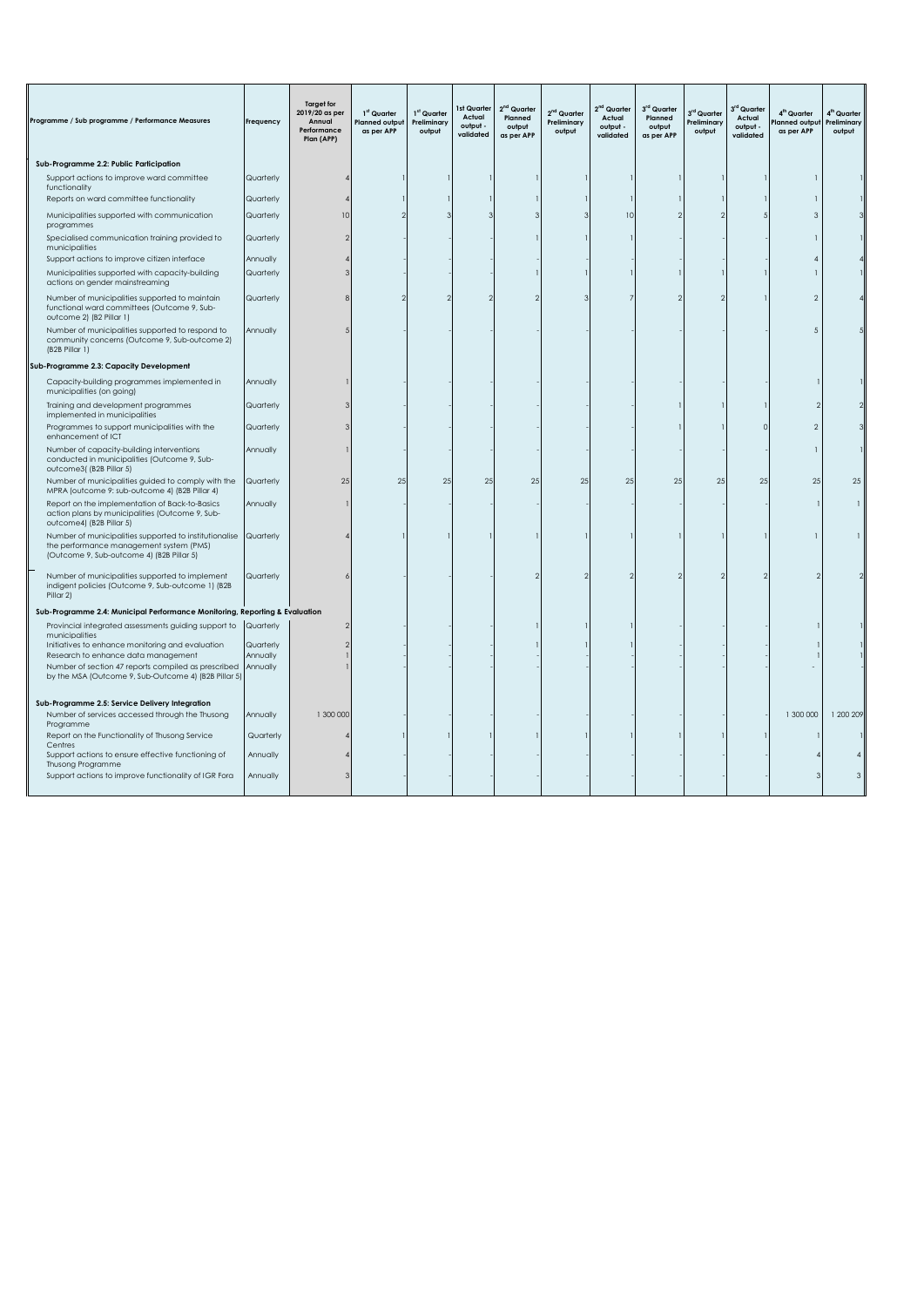| Programme / Sub programme / Performance Measures                                                                                               | Freauency | <b>Target for</b><br>2019/20 as per<br>Annual<br>Performance<br>Plan (APP) | 1 <sup>st</sup> Quarter<br>Planned output<br>as per APP | 1 <sup>st</sup> Quarter<br>Preliminary<br>output | Ist Quarter<br>Actual<br>output -<br>validated | 2 <sup>nd</sup> Quarter<br>Planned<br>output<br>as per APP | 2 <sup>nd</sup> Quarter<br>Preliminary<br>output | 2 <sup>nd</sup> Quarter<br>Actual<br>output -<br>validated | 3rd Quarter<br>Planned<br>output<br>as per APP | 3rd Quarter<br>Preliminary<br>output | 3 <sup>rd</sup> Quarter<br>Actual<br>output -<br>validated | 4 <sup>th</sup> Quarter<br>lanned output<br>as per APP | 4 <sup>th</sup> Quarter<br>Preliminary<br>output |
|------------------------------------------------------------------------------------------------------------------------------------------------|-----------|----------------------------------------------------------------------------|---------------------------------------------------------|--------------------------------------------------|------------------------------------------------|------------------------------------------------------------|--------------------------------------------------|------------------------------------------------------------|------------------------------------------------|--------------------------------------|------------------------------------------------------------|--------------------------------------------------------|--------------------------------------------------|
| Sub-Programme 2.2: Public Participation                                                                                                        |           |                                                                            |                                                         |                                                  |                                                |                                                            |                                                  |                                                            |                                                |                                      |                                                            |                                                        |                                                  |
| Support actions to improve ward committee<br>functionality                                                                                     | Quarterly |                                                                            |                                                         |                                                  |                                                |                                                            |                                                  |                                                            |                                                |                                      |                                                            |                                                        |                                                  |
| Reports on ward committee functionality                                                                                                        | Quarterly |                                                                            |                                                         |                                                  |                                                |                                                            |                                                  |                                                            |                                                |                                      |                                                            |                                                        |                                                  |
| Municipalities supported with communication<br>programmes                                                                                      | Quarterly |                                                                            |                                                         |                                                  |                                                |                                                            |                                                  | 10                                                         |                                                |                                      |                                                            | 3                                                      |                                                  |
| Specialised communication training provided to<br>municipalities                                                                               | Quarterly |                                                                            |                                                         |                                                  |                                                |                                                            |                                                  |                                                            |                                                |                                      |                                                            |                                                        |                                                  |
| Support actions to improve citizen interface                                                                                                   | Annually  |                                                                            |                                                         |                                                  |                                                |                                                            |                                                  |                                                            |                                                |                                      |                                                            |                                                        |                                                  |
| Municipalities supported with capacity-building<br>actions on gender mainstreaming                                                             | Quarterly |                                                                            |                                                         |                                                  |                                                |                                                            |                                                  |                                                            |                                                |                                      |                                                            |                                                        |                                                  |
| Number of municipalities supported to maintain<br>functional ward committees (Outcome 9, Sub-<br>outcome 2) (B2 Pillar 1)                      | Quarterly |                                                                            |                                                         |                                                  |                                                |                                                            |                                                  |                                                            |                                                |                                      |                                                            | $\mathfrak{D}$                                         |                                                  |
| Number of municipalities supported to respond to<br>community concerns (Outcome 9, Sub-outcome 2)<br>(B2B Pillar 1)                            | Annually  |                                                                            |                                                         |                                                  |                                                |                                                            |                                                  |                                                            |                                                |                                      |                                                            | 5                                                      |                                                  |
| Sub-Programme 2.3: Capacity Development                                                                                                        |           |                                                                            |                                                         |                                                  |                                                |                                                            |                                                  |                                                            |                                                |                                      |                                                            |                                                        |                                                  |
| Capacity-building programmes implemented in<br>municipalities (on going)                                                                       | Annually  |                                                                            |                                                         |                                                  |                                                |                                                            |                                                  |                                                            |                                                |                                      |                                                            |                                                        |                                                  |
| Training and development programmes<br>implemented in municipalities                                                                           | Quarterly |                                                                            |                                                         |                                                  |                                                |                                                            |                                                  |                                                            |                                                |                                      |                                                            |                                                        |                                                  |
| Programmes to support municipalities with the<br>enhancement of ICT                                                                            | Quarterly |                                                                            |                                                         |                                                  |                                                |                                                            |                                                  |                                                            |                                                |                                      | C                                                          |                                                        |                                                  |
| Number of capacity-building interventions<br>conducted in municipalities (Outcome 9, Sub-<br>outcome3((B2B Pillar 5)                           | Annually  |                                                                            |                                                         |                                                  |                                                |                                                            |                                                  |                                                            |                                                |                                      |                                                            |                                                        |                                                  |
| Number of municipalities guided to comply with the<br>MPRA (outcome 9: sub-outcome 4) (B2B Pillar 4)                                           | Quarterly | 25                                                                         | 25                                                      | 25                                               | 25                                             | 25                                                         | 25                                               | 25                                                         | 25                                             | 25                                   | 25                                                         | 25                                                     | 25                                               |
| Report on the implementation of Back-to-Basics<br>action plans by municipalities (Outcome 9, Sub-<br>outcome4) (B2B Pillar 5)                  | Annually  |                                                                            |                                                         |                                                  |                                                |                                                            |                                                  |                                                            |                                                |                                      |                                                            |                                                        | $\overline{1}$                                   |
| Number of municipalities supported to institutionalise<br>the performance management system (PMS)<br>(Outcome 9, Sub-outcome 4) (B2B Pillar 5) | Quarterly |                                                                            |                                                         |                                                  |                                                |                                                            |                                                  |                                                            |                                                |                                      |                                                            |                                                        |                                                  |
| Number of municipalities supported to implement<br>indigent policies (Outcome 9, Sub-outcome 1) (B2B<br>Pillar 2)                              | Quarterly |                                                                            |                                                         |                                                  |                                                |                                                            |                                                  |                                                            |                                                |                                      |                                                            |                                                        |                                                  |
| Sub-Programme 2.4: Municipal Performance Monitoring, Reporting & Evaluation                                                                    |           |                                                                            |                                                         |                                                  |                                                |                                                            |                                                  |                                                            |                                                |                                      |                                                            |                                                        |                                                  |
| Provincial integrated assessments guiding support to<br>municipalities                                                                         | Quarterly |                                                                            |                                                         |                                                  |                                                |                                                            |                                                  |                                                            |                                                |                                      |                                                            |                                                        |                                                  |
| Initiatives to enhance monitoring and evaluation                                                                                               | Quarterly |                                                                            |                                                         |                                                  |                                                |                                                            |                                                  |                                                            |                                                |                                      |                                                            |                                                        |                                                  |
| Research to enhance data management                                                                                                            | Annually  |                                                                            |                                                         |                                                  |                                                |                                                            |                                                  |                                                            |                                                |                                      |                                                            |                                                        |                                                  |
| Number of section 47 reports compiled as prescribed<br>by the MSA (Outcome 9, Sub-Outcome 4) (B2B Pillar 5)                                    | Annually  |                                                                            |                                                         |                                                  |                                                |                                                            |                                                  |                                                            |                                                |                                      |                                                            |                                                        |                                                  |
| Sub-Programme 2.5: Service Delivery Integration                                                                                                |           |                                                                            |                                                         |                                                  |                                                |                                                            |                                                  |                                                            |                                                |                                      |                                                            |                                                        |                                                  |
| Number of services accessed through the Thusong<br>Programme                                                                                   | Annually  | 1 300 000                                                                  |                                                         |                                                  |                                                |                                                            |                                                  |                                                            |                                                |                                      |                                                            | 1 300 000                                              | 1 200 209                                        |
| Report on the Functionality of Thusong Service                                                                                                 | Quarterly |                                                                            |                                                         |                                                  |                                                |                                                            |                                                  |                                                            |                                                |                                      |                                                            |                                                        |                                                  |
| Centres<br>Support actions to ensure effective functioning of<br>Thusong Programme                                                             | Annually  |                                                                            |                                                         |                                                  |                                                |                                                            |                                                  |                                                            |                                                |                                      |                                                            |                                                        |                                                  |
| Support actions to improve functionality of IGR Fora                                                                                           | Annually  |                                                                            |                                                         |                                                  |                                                |                                                            |                                                  |                                                            |                                                |                                      |                                                            |                                                        | $\mathcal{R}$                                    |